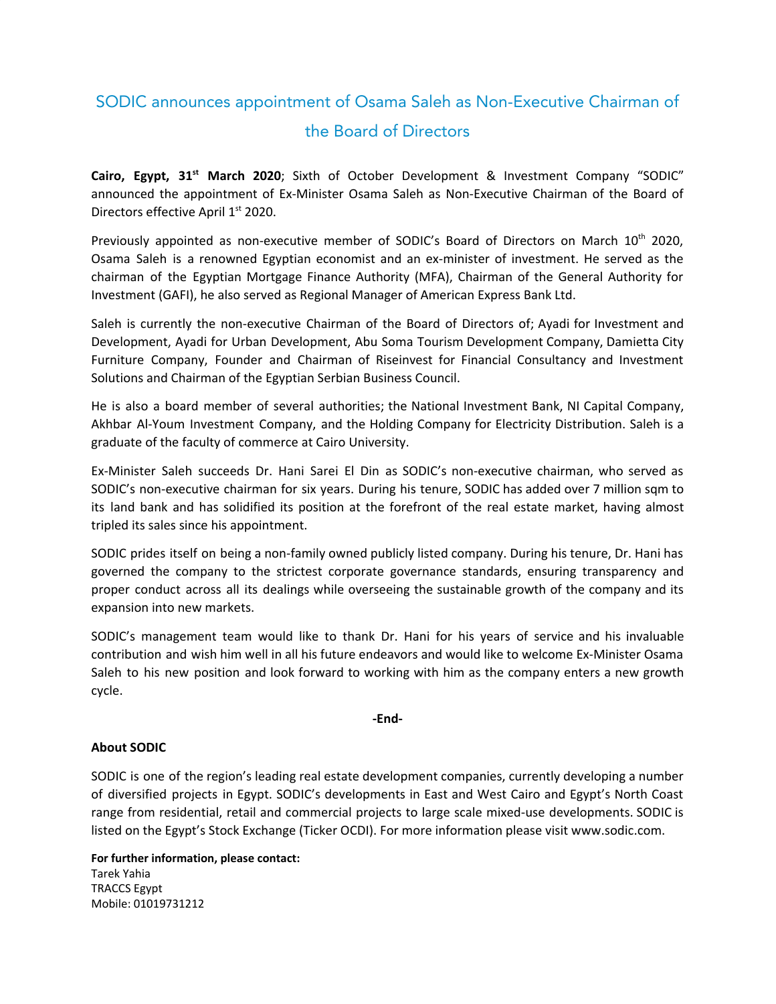## SODIC announces appointment of Osama Saleh as Non-Executive Chairman of the Board of Directors

**Cairo, Egypt, 31 st March 2020**; Sixth of October Development & Investment Company "SODIC" announced the appointment of Ex-Minister Osama Saleh as Non-Executive Chairman of the Board of Directors effective April 1<sup>st</sup> 2020.

Previously appointed as non-executive member of SODIC's Board of Directors on March 10<sup>th</sup> 2020, Osama Saleh is a renowned Egyptian economist and an ex-minister of investment. He served as the chairman of the Egyptian Mortgage Finance Authority (MFA), Chairman of the General Authority for Investment (GAFI), he also served as Regional Manager of American Express Bank Ltd.

Saleh is currently the non-executive Chairman of the Board of Directors of; Ayadi for Investment and Development, Ayadi for Urban Development, Abu Soma Tourism Development Company, Damietta City Furniture Company, Founder and Chairman of Riseinvest for Financial Consultancy and Investment Solutions and Chairman of the Egyptian Serbian Business Council.

He is also a board member of several authorities; the National Investment Bank, NI Capital Company, Akhbar Al-Youm Investment Company, and the Holding Company for Electricity Distribution. Saleh is a graduate of the faculty of commerce at Cairo University.

Ex-Minister Saleh succeeds Dr. Hani Sarei El Din as SODIC's non-executive chairman, who served as SODIC's non-executive chairman for six years. During his tenure, SODIC has added over 7 million sqm to its land bank and has solidified its position at the forefront of the real estate market, having almost tripled its sales since his appointment.

SODIC prides itself on being a non-family owned publicly listed company. During his tenure, Dr. Hani has governed the company to the strictest corporate governance standards, ensuring transparency and proper conduct across all its dealings while overseeing the sustainable growth of the company and its expansion into new markets.

SODIC's management team would like to thank Dr. Hani for his years of service and his invaluable contribution and wish him well in all his future endeavors and would like to welcome Ex-Minister Osama Saleh to his new position and look forward to working with him as the company enters a new growth cycle.

## **-End-**

## **About SODIC**

SODIC is one of the region's leading real estate development companies, currently developing a number of diversified projects in Egypt. SODIC's developments in East and West Cairo and Egypt's North Coast range from residential, retail and commercial projects to large scale mixed-use developments. SODIC is listed on the Egypt's Stock Exchange (Ticker OCDI). For more information please visit [www.sodic.com](http://www.sodic.com/).

**For further information, please contact:** Tarek Yahia TRACCS Egypt Mobile: 01019731212